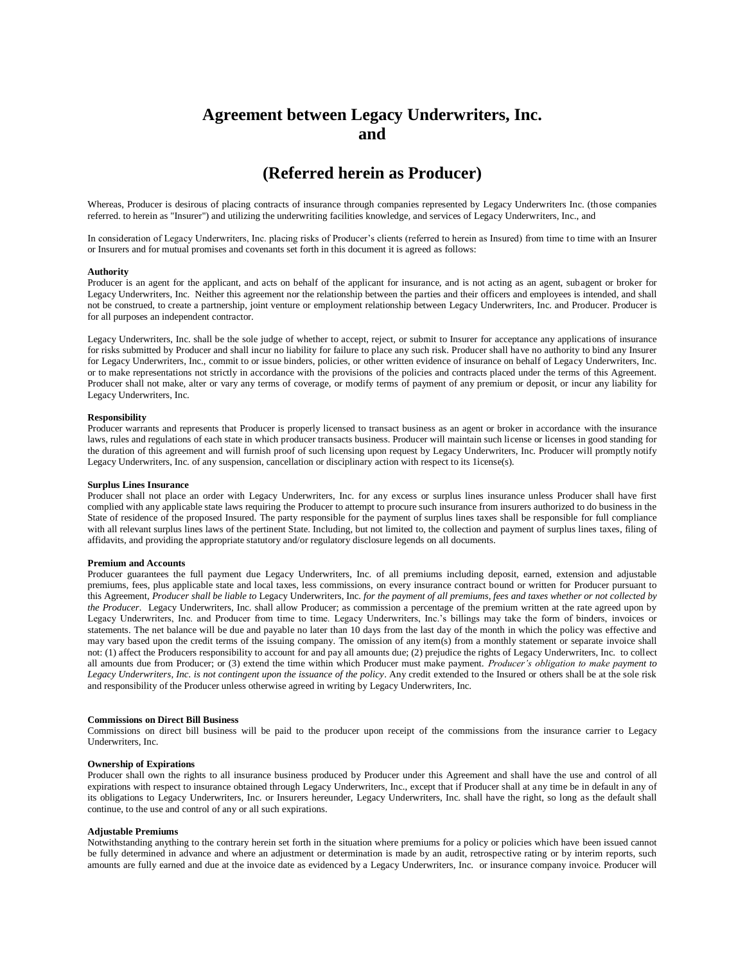# **Agreement between Legacy Underwriters, Inc. and**

## **(Referred herein as Producer)**

Whereas, Producer is desirous of placing contracts of insurance through companies represented by Legacy Underwriters Inc. (those companies referred. to herein as "Insurer") and utilizing the underwriting facilities knowledge, and services of Legacy Underwriters, Inc., and

In consideration of Legacy Underwriters, Inc. placing risks of Producer's clients (referred to herein as Insured) from time to time with an Insurer or Insurers and for mutual promises and covenants set forth in this document it is agreed as follows:

## **Authority**

Producer is an agent for the applicant, and acts on behalf of the applicant for insurance, and is not acting as an agent, subagent or broker for Legacy Underwriters, Inc. Neither this agreement nor the relationship between the parties and their officers and employees is intended, and shall not be construed, to create a partnership, joint venture or employment relationship between Legacy Underwriters, Inc. and Producer. Producer is for all purposes an independent contractor.

Legacy Underwriters, Inc. shall be the sole judge of whether to accept, reject, or submit to Insurer for acceptance any applications of insurance for risks submitted by Producer and shall incur no liability for failure to place any such risk. Producer shall have no authority to bind any Insurer for Legacy Underwriters, Inc., commit to or issue binders, policies, or other written evidence of insurance on behalf of Legacy Underwriters, Inc. or to make representations not strictly in accordance with the provisions of the policies and contracts placed under the terms of this Agreement. Producer shall not make, alter or vary any terms of coverage, or modify terms of payment of any premium or deposit, or incur any liability for Legacy Underwriters, Inc.

### **Responsibility**

Producer warrants and represents that Producer is properly licensed to transact business as an agent or broker in accordance with the insurance laws, rules and regulations of each state in which producer transacts business. Producer will maintain such license or licenses in good standing for the duration of this agreement and will furnish proof of such licensing upon request by Legacy Underwriters, Inc. Producer will promptly notify Legacy Underwriters, Inc. of any suspension, cancellation or disciplinary action with respect to its 1icense(s).

#### **Surplus Lines Insurance**

Producer shall not place an order with Legacy Underwriters, Inc. for any excess or surplus lines insurance unless Producer shall have first complied with any applicable state laws requiring the Producer to attempt to procure such insurance from insurers authorized to do business in the State of residence of the proposed Insured. The party responsible for the payment of surplus lines taxes shall be responsible for full compliance with all relevant surplus lines laws of the pertinent State. Including, but not limited to, the collection and payment of surplus lines taxes, filing of affidavits, and providing the appropriate statutory and/or regulatory disclosure legends on all documents.

#### **Premium and Accounts**

Producer guarantees the full payment due Legacy Underwriters, Inc. of all premiums including deposit, earned, extension and adjustable premiums, fees, plus applicable state and local taxes, less commissions, on every insurance contract bound or written for Producer pursuant to this Agreement, *Producer shall be liable to* Legacy Underwriters, Inc. *for the payment of all premiums, fees and taxes whether or not collected by the Producer.* Legacy Underwriters, Inc. shall allow Producer; as commission a percentage of the premium written at the rate agreed upon by Legacy Underwriters, Inc. and Producer from time to time. Legacy Underwriters, Inc.'s billings may take the form of binders, invoices or statements. The net balance will be due and payable no later than 10 days from the last day of the month in which the policy was effective and may vary based upon the credit terms of the issuing company. The omission of any item(s) from a monthly statement or separate invoice shall not: (1) affect the Producers responsibility to account for and pay all amounts due; (2) prejudice the rights of Legacy Underwriters, Inc. to collect all amounts due from Producer; or (3) extend the time within which Producer must make payment. *Producer's obligation to make payment to Legacy Underwriters, Inc. is not contingent upon the issuance of the policy*. Any credit extended to the Insured or others shall be at the sole risk and responsibility of the Producer unless otherwise agreed in writing by Legacy Underwriters, Inc.

#### **Commissions on Direct Bill Business**

Commissions on direct bill business will be paid to the producer upon receipt of the commissions from the insurance carrier to Legacy Underwriters, Inc.

#### **Ownership of Expirations**

Producer shall own the rights to all insurance business produced by Producer under this Agreement and shall have the use and control of all expirations with respect to insurance obtained through Legacy Underwriters, Inc., except that if Producer shall at any time be in default in any of its obligations to Legacy Underwriters, Inc. or Insurers hereunder, Legacy Underwriters, Inc. shall have the right, so long as the default shall continue, to the use and control of any or all such expirations.

#### **Adjustable Premiums**

Notwithstanding anything to the contrary herein set forth in the situation where premiums for a policy or policies which have been issued cannot be fully determined in advance and where an adjustment or determination is made by an audit, retrospective rating or by interim reports, such amounts are fully earned and due at the invoice date as evidenced by a Legacy Underwriters, Inc. or insurance company invoice. Producer will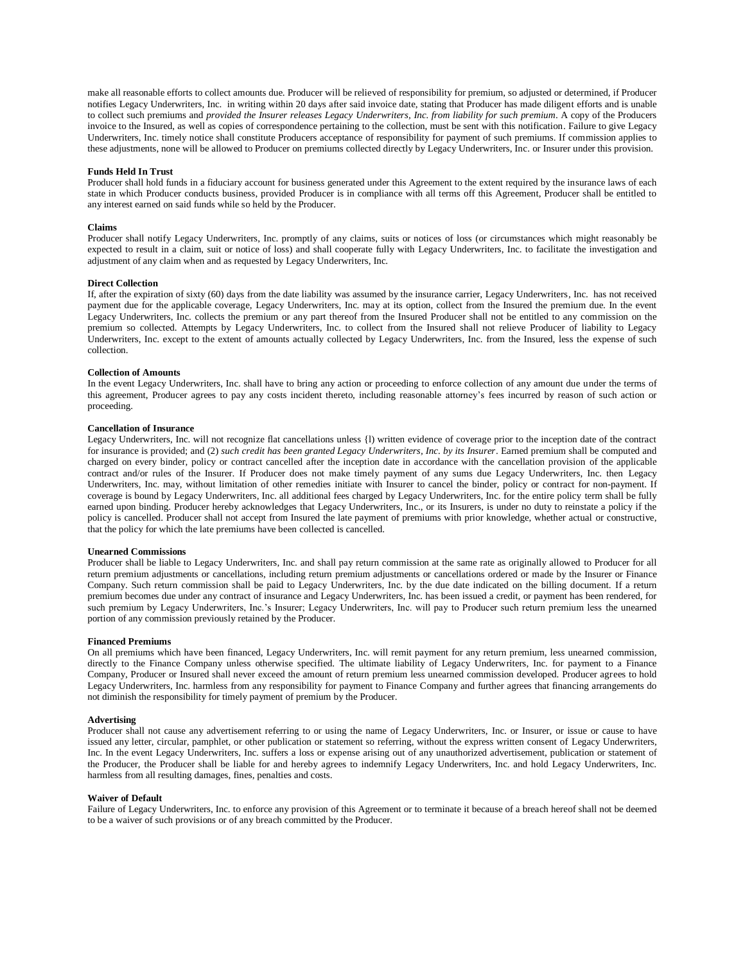make all reasonable efforts to collect amounts due. Producer will be relieved of responsibility for premium, so adjusted or determined, if Producer notifies Legacy Underwriters, Inc. in writing within 20 days after said invoice date, stating that Producer has made diligent efforts and is unable to collect such premiums and *provided the Insurer releases Legacy Underwriters, Inc. from liability for such premium*. A copy of the Producers invoice to the Insured, as well as copies of correspondence pertaining to the collection, must be sent with this notification. Failure to give Legacy Underwriters, Inc. timely notice shall constitute Producers acceptance of responsibility for payment of such premiums. If commission applies to these adjustments, none will be allowed to Producer on premiums collected directly by Legacy Underwriters, Inc. or Insurer under this provision.

## **Funds Held In Trust**

Producer shall hold funds in a fiduciary account for business generated under this Agreement to the extent required by the insurance laws of each state in which Producer conducts business, provided Producer is in compliance with all terms off this Agreement, Producer shall be entitled to any interest earned on said funds while so held by the Producer.

#### **Claims**

Producer shall notify Legacy Underwriters, Inc. promptly of any claims, suits or notices of loss (or circumstances which might reasonably be expected to result in a claim, suit or notice of loss) and shall cooperate fully with Legacy Underwriters, Inc. to facilitate the investigation and adjustment of any claim when and as requested by Legacy Underwriters, Inc.

#### **Direct Collection**

If, after the expiration of sixty (60) days from the date liability was assumed by the insurance carrier, Legacy Underwriters, Inc. has not received payment due for the applicable coverage, Legacy Underwriters, Inc. may at its option, collect from the Insured the premium due. In the event Legacy Underwriters, Inc. collects the premium or any part thereof from the Insured Producer shall not be entitled to any commission on the premium so collected. Attempts by Legacy Underwriters, Inc. to collect from the Insured shall not relieve Producer of liability to Legacy Underwriters, Inc. except to the extent of amounts actually collected by Legacy Underwriters, Inc. from the Insured, less the expense of such collection.

## **Collection of Amounts**

In the event Legacy Underwriters, Inc. shall have to bring any action or proceeding to enforce collection of any amount due under the terms of this agreement, Producer agrees to pay any costs incident thereto, including reasonable attorney's fees incurred by reason of such action or proceeding.

## **Cancellation of Insurance**

Legacy Underwriters, Inc. will not recognize flat cancellations unless {l) written evidence of coverage prior to the inception date of the contract for insurance is provided; and (2) *such credit has been granted Legacy Underwriters, Inc. by its Insurer*. Earned premium shall be computed and charged on every binder, policy or contract cancelled after the inception date in accordance with the cancellation provision of the applicable contract and/or rules of the Insurer. If Producer does not make timely payment of any sums due Legacy Underwriters, Inc. then Legacy Underwriters, Inc. may, without limitation of other remedies initiate with Insurer to cancel the binder, policy or contract for non-payment. If coverage is bound by Legacy Underwriters, Inc. all additional fees charged by Legacy Underwriters, Inc. for the entire policy term shall be fully earned upon binding. Producer hereby acknowledges that Legacy Underwriters, Inc., or its Insurers, is under no duty to reinstate a policy if the policy is cancelled. Producer shall not accept from Insured the late payment of premiums with prior knowledge, whether actual or constructive, that the policy for which the late premiums have been collected is cancelled.

#### **Unearned Commissions**

Producer shall be liable to Legacy Underwriters, Inc. and shall pay return commission at the same rate as originally allowed to Producer for all return premium adjustments or cancellations, including return premium adjustments or cancellations ordered or made by the Insurer or Finance Company. Such return commission shall be paid to Legacy Underwriters, Inc. by the due date indicated on the billing document. If a return premium becomes due under any contract of insurance and Legacy Underwriters, Inc. has been issued a credit, or payment has been rendered, for such premium by Legacy Underwriters, Inc.'s Insurer; Legacy Underwriters, Inc. will pay to Producer such return premium less the unearned portion of any commission previously retained by the Producer.

## **Financed Premiums**

On all premiums which have been financed, Legacy Underwriters, Inc. will remit payment for any return premium, less unearned commission, directly to the Finance Company unless otherwise specified. The ultimate liability of Legacy Underwriters, Inc. for payment to a Finance Company, Producer or Insured shall never exceed the amount of return premium less unearned commission developed. Producer agrees to hold Legacy Underwriters, Inc. harmless from any responsibility for payment to Finance Company and further agrees that financing arrangements do not diminish the responsibility for timely payment of premium by the Producer.

## **Advertising**

Producer shall not cause any advertisement referring to or using the name of Legacy Underwriters, Inc. or Insurer, or issue or cause to have issued any letter, circular, pamphlet, or other publication or statement so referring, without the express written consent of Legacy Underwriters, Inc. In the event Legacy Underwriters, Inc. suffers a loss or expense arising out of any unauthorized advertisement, publication or statement of the Producer, the Producer shall be liable for and hereby agrees to indemnify Legacy Underwriters, Inc. and hold Legacy Underwriters, Inc. harmless from all resulting damages, fines, penalties and costs.

#### **Waiver of Default**

Failure of Legacy Underwriters, Inc. to enforce any provision of this Agreement or to terminate it because of a breach hereof shall not be deemed to be a waiver of such provisions or of any breach committed by the Producer.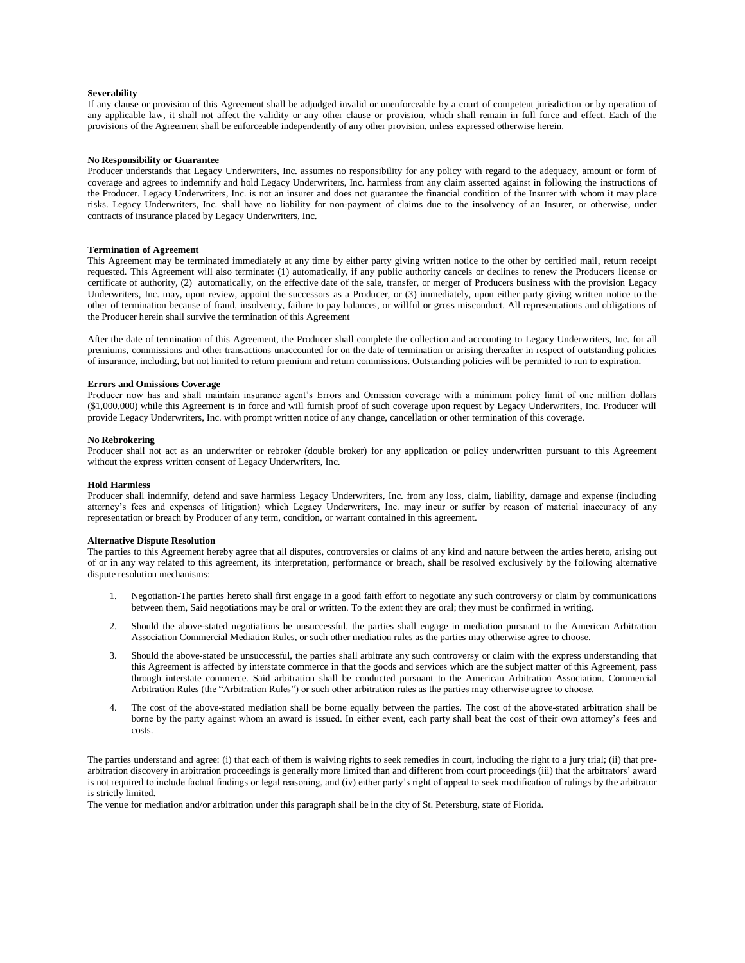#### **Severability**

If any clause or provision of this Agreement shall be adjudged invalid or unenforceable by a court of competent jurisdiction or by operation of any applicable law, it shall not affect the validity or any other clause or provision, which shall remain in full force and effect. Each of the provisions of the Agreement shall be enforceable independently of any other provision, unless expressed otherwise herein.

## **No Responsibility or Guarantee**

Producer understands that Legacy Underwriters, Inc. assumes no responsibility for any policy with regard to the adequacy, amount or form of coverage and agrees to indemnify and hold Legacy Underwriters, Inc. harmless from any claim asserted against in following the instructions of the Producer. Legacy Underwriters, Inc. is not an insurer and does not guarantee the financial condition of the Insurer with whom it may place risks. Legacy Underwriters, Inc. shall have no liability for non-payment of claims due to the insolvency of an Insurer, or otherwise, under contracts of insurance placed by Legacy Underwriters, Inc.

## **Termination of Agreement**

This Agreement may be terminated immediately at any time by either party giving written notice to the other by certified mail, return receipt requested. This Agreement will also terminate: (1) automatically, if any public authority cancels or declines to renew the Producers license or certificate of authority, (2) automatically, on the effective date of the sale, transfer, or merger of Producers business with the provision Legacy Underwriters, Inc. may, upon review, appoint the successors as a Producer, or (3) immediately, upon either party giving written notice to the other of termination because of fraud, insolvency, failure to pay balances, or willful or gross misconduct. All representations and obligations of the Producer herein shall survive the termination of this Agreement

After the date of termination of this Agreement, the Producer shall complete the collection and accounting to Legacy Underwriters, Inc. for all premiums, commissions and other transactions unaccounted for on the date of termination or arising thereafter in respect of outstanding policies of insurance, including, but not limited to return premium and return commissions. Outstanding policies will be permitted to run to expiration.

#### **Errors and Omissions Coverage**

Producer now has and shall maintain insurance agent's Errors and Omission coverage with a minimum policy limit of one million dollars (\$1,000,000) while this Agreement is in force and will furnish proof of such coverage upon request by Legacy Underwriters, Inc. Producer will provide Legacy Underwriters, Inc. with prompt written notice of any change, cancellation or other termination of this coverage.

### **No Rebrokering**

Producer shall not act as an underwriter or rebroker (double broker) for any application or policy underwritten pursuant to this Agreement without the express written consent of Legacy Underwriters, Inc.

#### **Hold Harmless**

Producer shall indemnify, defend and save harmless Legacy Underwriters, Inc. from any loss, claim, liability, damage and expense (including attorney's fees and expenses of litigation) which Legacy Underwriters, Inc. may incur or suffer by reason of material inaccuracy of any representation or breach by Producer of any term, condition, or warrant contained in this agreement.

## **Alternative Dispute Resolution**

The parties to this Agreement hereby agree that all disputes, controversies or claims of any kind and nature between the arties hereto, arising out of or in any way related to this agreement, its interpretation, performance or breach, shall be resolved exclusively by the following alternative dispute resolution mechanisms:

- 1. Negotiation-The parties hereto shall first engage in a good faith effort to negotiate any such controversy or claim by communications between them, Said negotiations may be oral or written. To the extent they are oral; they must be confirmed in writing.
- 2. Should the above-stated negotiations be unsuccessful, the parties shall engage in mediation pursuant to the American Arbitration Association Commercial Mediation Rules, or such other mediation rules as the parties may otherwise agree to choose.
- 3. Should the above-stated be unsuccessful, the parties shall arbitrate any such controversy or claim with the express understanding that this Agreement is affected by interstate commerce in that the goods and services which are the subject matter of this Agreement, pass through interstate commerce. Said arbitration shall be conducted pursuant to the American Arbitration Association. Commercial Arbitration Rules (the "Arbitration Rules") or such other arbitration rules as the parties may otherwise agree to choose.
- 4. The cost of the above-stated mediation shall be borne equally between the parties. The cost of the above-stated arbitration shall be borne by the party against whom an award is issued. In either event, each party shall beat the cost of their own attorney's fees and costs.

The parties understand and agree: (i) that each of them is waiving rights to seek remedies in court, including the right to a jury trial; (ii) that prearbitration discovery in arbitration proceedings is generally more limited than and different from court proceedings (iii) that the arbitrators' award is not required to include factual findings or legal reasoning, and (iv) either party's right of appeal to seek modification of rulings by the arbitrator is strictly limited.

The venue for mediation and/or arbitration under this paragraph shall be in the city of St. Petersburg, state of Florida.